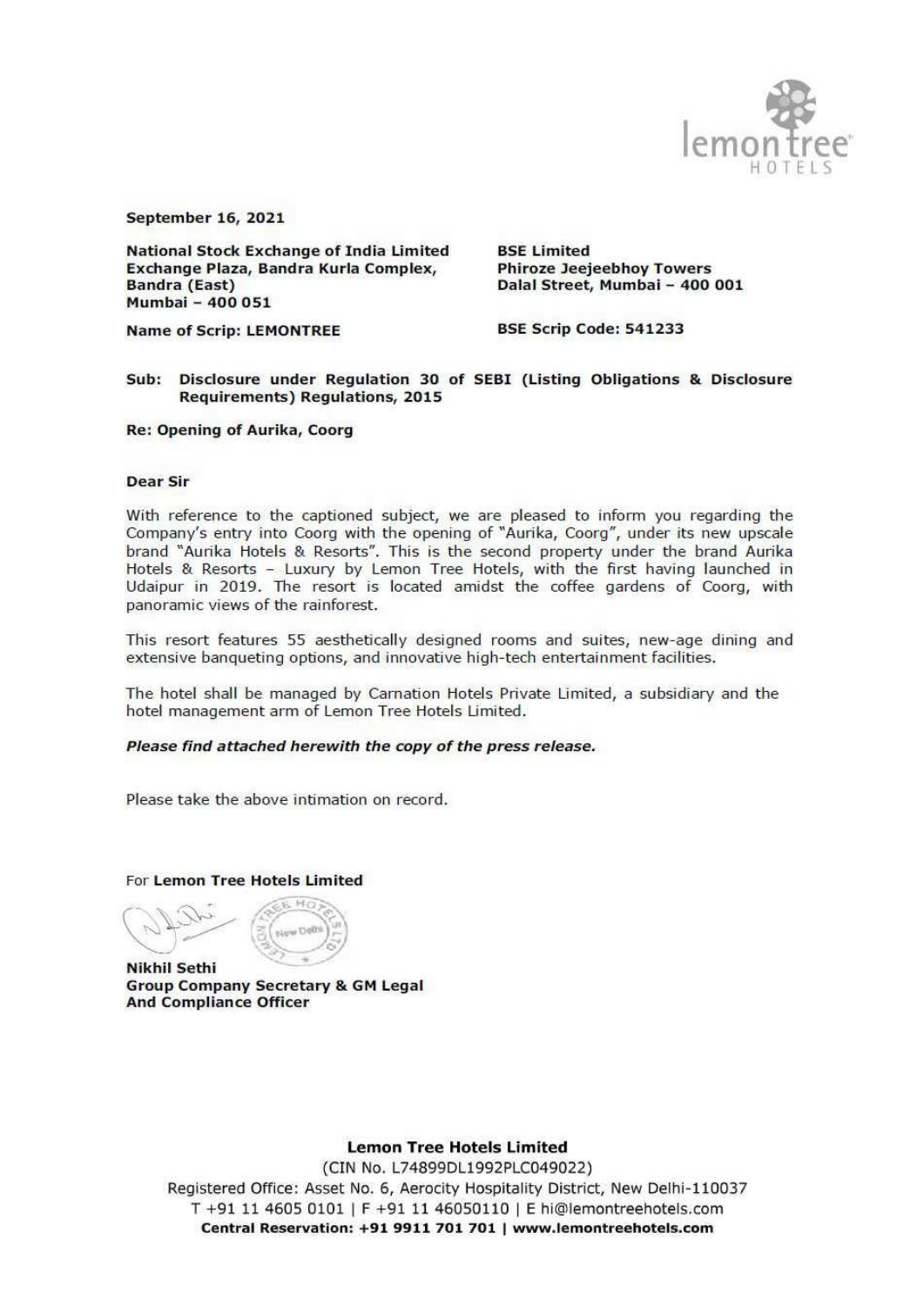

September 16, 2021

National Stock Exchange of India Limited BSE Limited<br>
Exchange Plaza, Bandra Kurla Complex, Phiroze Jeejeebhoy Towers<br>
Bandra (East) Dalal Street, Mumbai - 400 001<br>
Mumbai - 400 051

Name of Scrip: LEMONTREE BSE Scrip Code: 541233

# Sub: Disclosure under Regulation 30 of SEBI (Listing Obligations & Disclosure Requirements) Regulations, 2015

Re: Opening of Aurika, Coorg

#### Dear Sir

With reference to the captioned subject, we are pleased to inform you regarding the Company's entry into Coorg with the opening of "Aurika, Coorg", under its new upscale brand "Aurika Hotels & Resorts". This is the second

This resort features 55 aesthetically designed rooms and suites, new-age dining and extensive banqueting options, and innovative high-tech entertainment facilities.

The hotel shall be managed by Carnation Hotels Private Limited, a subsidiary and the hotel management arm of Lemon Tree Hotels Limited.

### Please find attached herewith the copy of the press release.

Please take the above intimation on record.

For Lemon Tree Hotels Limited

Nikhil Sethi<br>Group Company Secretary & GM Legal<br>And Compliance Officer

### Lemon Tree Hotels Limited

0037<br>m<br>! (CIN No. L74899DL1992PLC049022) Registered Office: Asset No. 6, Aerocity Hospitality District, New Delhi-110037 T +91 11 4605 0101 | F +91 11 46050110 | E hi@lemontreehotels.com Central Reservation: +91 9911 701 701 | www.lemontreehotels.com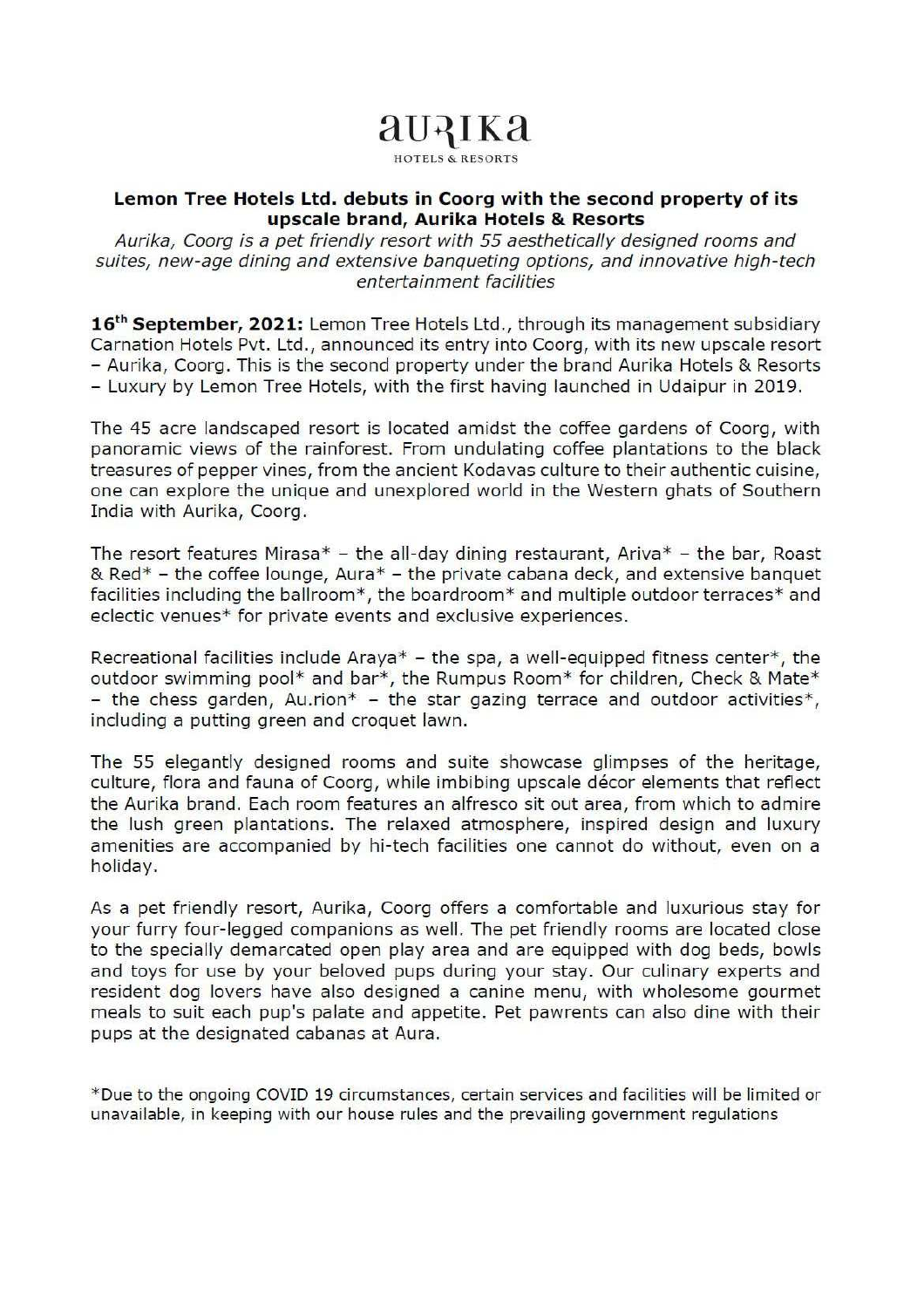# auaika HOTELS & RESORTS

### Lemon Tree Hotels Ltd. debuts in Coorg with the second property of its upscale brand, Aurika Hotels & Resorts

Aurika, Coorg is a pet friendly resort with 55 aesthetically designed rooms and suites, new-age dining and extensive banqueting options, and innovative high-tech entertainment facilities

16<sup>th</sup> September, 2021: Lemon Tree Hotels Ltd., through its management subsidiary Carnation Hotels Pvt. Ltd., announced its entry into Coorg, with its new upscale resort - Aurika, Coorg. This is the second property under the brand Aurika Hotels & Resorts - Luxury by Lemon Tree Hotels, with the first having launched in Udaipur in 2019.

The 45 acre landscaped resort is located amidst the coffee gardens of Coorg, with panoramic views of the rainforest. From undulating coffee plantations to the black treasures of pepper vines, from the ancient Kodavas culture to their authentic cuisine, one can explore the unique and unexplored world in the Western ghats of Southern India with Aurika, Coorg.

The resort features Mirasa\*  $-$  the all-day dining restaurant, Ariva\*  $-$  the bar, Roast & Red $*$  - the coffee lounge, Aura $*$  - the private cabana deck, and extensive banquet facilities including the ballroom\*, the boardroom\* and multiple outdoor terraces\* and eclectic venues\* for private events and exclusive experiences.

Recreational facilities include Araya\*  $-$  the spa, a well-equipped fitness center\*, the outdoor swimming pool\* and bar\*, the Rumpus Room\* for children, Check & Mate\* - the chess garden, Au.rion<sup>\*</sup> - the star gazing terrace and outdoor activities<sup>\*</sup>, including a putting green and croquet lawn.

The 55 elegantly designed rooms and suite showcase glimpses of the heritage, culture, flora and fauna of Coorg, while imbibing upscale décor elements that reflect the Aurika brand. Each room features an alfresco sit out area, from which to admire the lush green plantations. The relaxed atmosphere, inspired design and luxury amenities are accompanied by hi-tech facilities one cannot do without, even on a holiday.

As a pet friendly resort, Aurika, Coorg offers a comfortable and luxurious stay for your furry four-legged companions as well. The pet friendly rooms are located close to the specially demarcated open play area and are equipped with dog beds, bowls and toys for use by your beloved pups during your stay. Our culinary experts and resident dog lovers have also designed a canine menu, with wholesome gourmet meals to suit each pup's palate and appetite. Pet pawrents can also dine with their pups at the designated cabanas at Aura.

\*Due to the ongoing COVID 19 circumstances, certain services and facilities will be limited or unavailable, in keeping with our house rules and the prevailing government regulations